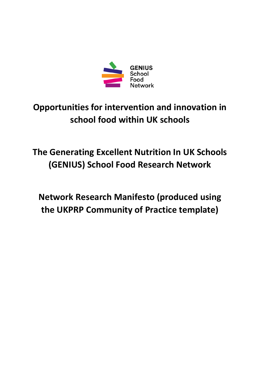

# **Opportunities for intervention and innovation in school food within UK schools**

# **The Generating Excellent Nutrition In UK Schools (GENIUS) School Food Research Network**

**Network Research Manifesto (produced using the UKPRP Community of Practice template)**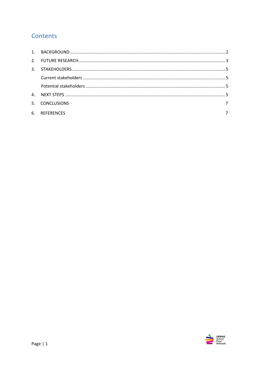# Contents

| 5. CONCLUSIONS |  |
|----------------|--|
| 6. REFERENCES  |  |

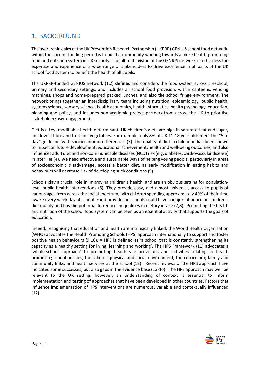# <span id="page-2-0"></span>1. BACKGROUND

The overarching **aim** of the UK Prevention Research Partnership (UKPRP) GENIUS school food network, within the current funding period is to build a community working towards a more health-promoting food and nutrition system in UK schools. The ultimate **vision** of the GENIUS network is to harness the expertise and experience of a wide range of stakeholders to drive excellence in all parts of the UK school food system to benefit the health of all pupils.

The UKPRP-funded GENIUS network (1,2) **defines** and considers the food system across preschool, primary and secondary settings, and includes all school food provision, within canteens, vending machines, shops and home-prepared packed lunches, and also the school fringe environment. The network brings together an interdisciplinary team including nutrition, epidemiology, public health, systems science, sensory science, health economics, health informatics, health psychology, education, planning and policy, and includes non-academic project partners from across the UK to prioritise stakeholder/user engagement.

Diet is a key, modifiable health determinant. UK children's diets are high in saturated fat and sugar, and low in fibre and fruit and vegetables. For example, only 8% of UK 11-18 year olds meet the "5-aday" guideline, with socioeconomic differentials (3). The quality of diet in childhood has been shown to impact on future development, educational achievement, health and well-being outcomes, and also influences adult diet and non-communicable diseases (NCD) risk (e.g. diabetes, cardiovascular disease) in later life (4). We need effective and sustainable ways of helping young people, particularly in areas of socioeconomic disadvantage, access a better diet, as early modification in eating habits and behaviours will decrease risk of developing such conditions (5).

Schools play a crucial role in improving children's health, and are an obvious setting for populationlevel public health interventions (6). They provide easy, and almost universal, access to pupils of various ages from across the social spectrum, with children spending approximately 40% of their time awake every week day at school. Food provided in schools could have a major influence on children's diet quality and has the potential to reduce inequalities in dietary intake (7,8). Promoting the health and nutrition of the school food system can be seen as an essential activity that supports the goals of education.

Indeed, recognising that education and health are intrinsically linked, the World Health Organisation (WHO) advocates the Health Promoting Schools (HPS) approach internationally to support and foster positive health behaviours (9,10). A HPS is defined as 'a school that is constantly strengthening its capacity as a healthy setting for living, learning and working'. The HPS Framework (11) advocates a 'whole-school approach' to promoting health via: provisions and activities relating to health promoting school policies; the school's physical and social environment; the curriculum; family and community links; and health services at the school (12). Recent reviews of the HPS approach have indicated some successes, but also gaps in the evidence base (13-16). The HPS approach may well be relevant to the UK setting, however, an understanding of context is essential to inform implementation and testing of approaches that have been developed in other countries. Factors that influence implementation of HPS interventions are numerous, variable and contextually influenced (12).

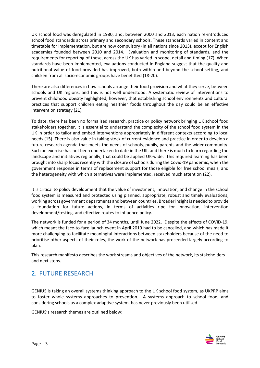UK school food was deregulated in 1980, and, between 2000 and 2013, each nation re-introduced school food standards across primary and secondary schools. These standards varied in content and timetable for implementation, but are now compulsory (in all nations since 2013), except for English academies founded between 2010 and 2014. Evaluation and monitoring of standards, and the requirements for reporting of these, across the UK has varied in scope, detail and timing (17). When standards have been implemented, evaluations conducted in England suggest that the quality and nutritional value of food provided has improved, both within and beyond the school setting, and children from all socio-economic groups have benefitted (18-20).

There are also differences in how schools arrange their food provision and what they serve, between schools and UK regions, and this is not well understood. A systematic review of interventions to prevent childhood obesity highlighted, however, that establishing school environments and cultural practices that support children eating healthier foods throughout the day could be an effective intervention strategy (21).

To date, there has been no formalised research, practice or policy network bringing UK school food stakeholders together. It is essential to understand the complexity of the school food system in the UK in order to tailor and embed interventions appropriately in different contexts according to local needs (15). There is also value in taking stock of current evidence and practice in order to develop a future research agenda that meets the needs of schools, pupils, parents and the wider community. Such an exercise has not been undertaken to date in the UK, and there is much to learn regarding the landscape and initiatives regionally, that could be applied UK-wide. This required learning has been brought into sharp focus recently with the closure of schools during the Covid-19 pandemic, when the government response in terms of replacement support for those eligible for free school meals, and the heterogeneity with which alternatives were implemented, received much attention (22).

It is critical to policy development that the value of investment, innovation, and change in the school food system is measured and protected using planned, appropriate, robust and timely evaluations, working across government departments and between countries. Broader insight is needed to provide a foundation for future actions, in terms of activities ripe for innovation, intervention development/testing, and effective routes to influence policy.

The network is funded for a period of 34 months, until June 2022. Despite the effects of COVID-19, which meant the face-to-face launch event in April 2019 had to be cancelled, and which has made it more challenging to facilitate meaningful interactions between stakeholders because of the need to prioritise other aspects of their roles, the work of the network has proceeded largely according to plan.

This research manifesto describes the work streams and objectives of the network, its stakeholders and next steps.

# <span id="page-3-0"></span>2. FUTURE RESEARCH

GENIUS is taking an overall systems thinking approach to the UK school food system, as UKPRP aims to foster whole systems approaches to prevention. A systems approach to school food, and considering schools as a complex adaptive system, has never previously been utilised.

GENIUS's research themes are outlined below:

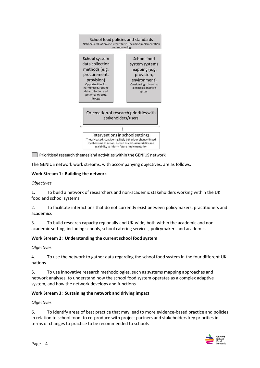

Prioritised research themes and activities within the GENIUS network

The GENIUS network work streams, with accompanying objectives, are as follows:

## **Work Stream 1: Building the network**

### *Objectives*

1. To build a network of researchers and non-academic stakeholders working within the UK food and school systems

2. To facilitate interactions that do not currently exist between policymakers, practitioners and academics

3. To build research capacity regionally and UK-wide, both within the academic and nonacademic setting, including schools, school catering services, policymakers and academics

### **Work Stream 2: Understanding the current school food system**

### *Objectives*

4. To use the network to gather data regarding the school food system in the four different UK nations

5. To use innovative research methodologies, such as systems mapping approaches and network analyses, to understand how the school food system operates as a complex adaptive system, and how the network develops and functions

### **Work Stream 3: Sustaining the network and driving impact**

### *Objectives*

6. To identify areas of best practice that may lead to more evidence-based practice and policies in relation to school food; to co-produce with project partners and stakeholders key priorities in terms of changes to practice to be recommended to schools

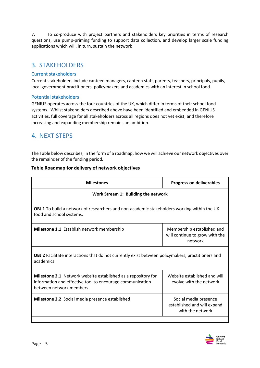7. To co-produce with project partners and stakeholders key priorities in terms of research questions, use pump-priming funding to support data collection, and develop larger scale funding applications which will, in turn, sustain the network

# <span id="page-5-0"></span>3. STAKEHOLDERS

## <span id="page-5-1"></span>Current stakeholders

Current stakeholders include canteen managers, canteen staff, parents, teachers, principals, pupils, local government practitioners, policymakers and academics with an interest in school food.

## <span id="page-5-2"></span>Potential stakeholders

GENIUS operates across the four countries of the UK, which differ in terms of their school food systems. Whilst stakeholders described above have been identified and embedded in GENIUS activities, full coverage for all stakeholders across all regions does not yet exist, and therefore increasing and expanding membership remains an ambition.

## <span id="page-5-3"></span>4. NEXT STEPS

The Table below describes, in the form of a roadmap, how we will achieve our network objectives over the remainder of the funding period.

## **Table Roadmap for delivery of network objectives**

| <b>Milestones</b>                                                                                                                                      | <b>Progress on deliverables</b>                                          |  |
|--------------------------------------------------------------------------------------------------------------------------------------------------------|--------------------------------------------------------------------------|--|
| Work Stream 1: Building the network                                                                                                                    |                                                                          |  |
| OBJ 1 To build a network of researchers and non-academic stakeholders working within the UK<br>food and school systems.                                |                                                                          |  |
| Milestone 1.1 Establish network membership                                                                                                             | Membership established and<br>will continue to grow with the<br>network  |  |
| OBJ 2 Facilitate interactions that do not currently exist between policymakers, practitioners and<br>academics                                         |                                                                          |  |
| Milestone 2.1 Network website established as a repository for<br>information and effective tool to encourage communication<br>between network members. | Website established and will<br>evolve with the network                  |  |
| <b>Milestone 2.2</b> Social media presence established                                                                                                 | Social media presence<br>established and will expand<br>with the network |  |
|                                                                                                                                                        |                                                                          |  |

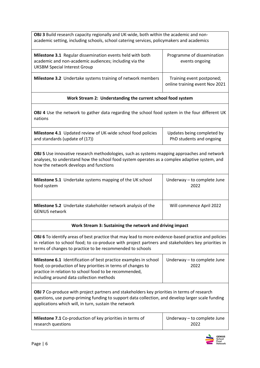| <b>OBJ 3</b> Build research capacity regionally and UK-wide, both within the academic and non- |
|------------------------------------------------------------------------------------------------|
| academic setting, including schools, school catering services, policymakers and academics      |

| Milestone 3.1 Regular dissemination events held with both<br>academic and non-academic audiences; including via the<br><b>UKSBM Special Interest Group</b> | Programme of dissemination<br>events ongoing                |
|------------------------------------------------------------------------------------------------------------------------------------------------------------|-------------------------------------------------------------|
| <b>Milestone 3.2</b> Undertake systems training of network members                                                                                         | Training event postponed;<br>online training event Nov 2021 |

## **Work Stream 2: Understanding the current school food system**

**OBJ 4** Use the network to gather data regarding the school food system in the four different UK nations

| Milestone 4.1 Updated review of UK-wide school food policies | Updates being completed by |
|--------------------------------------------------------------|----------------------------|
| and standards (update of (17))                               | PhD students and ongoing   |

**OBJ 5** Use innovative research methodologies, such as systems mapping approaches and network analyses, to understand how the school food system operates as a complex adaptive system, and how the network develops and functions

| <b>Milestone 5.1</b> Undertake systems mapping of the UK school                      | Underway - to complete June |
|--------------------------------------------------------------------------------------|-----------------------------|
| food system                                                                          | 2022                        |
| Milestone 5.2 Undertake stakeholder network analysis of the<br><b>GENIUS network</b> | Will commence April 2022    |

## **Work Stream 3: Sustaining the network and driving impact**

**OBJ 6** To identify areas of best practice that may lead to more evidence-based practice and policies in relation to school food; to co-produce with project partners and stakeholders key priorities in terms of changes to practice to be recommended to schools

| Milestone 6.1 Identification of best practice examples in school                                                       | Underway – to complete June |
|------------------------------------------------------------------------------------------------------------------------|-----------------------------|
| food; co-production of key priorities in terms of changes to<br>practice in relation to school food to be recommended, | 2022                        |
| including around data collection methods                                                                               |                             |

**OBJ 7** Co-produce with project partners and stakeholders key priorities in terms of research questions, use pump-priming funding to support data collection, and develop larger scale funding applications which will, in turn, sustain the network

| <b>Milestone 7.1</b> Co-production of key priorities in terms of | $\vert$ Underway – to complete June |
|------------------------------------------------------------------|-------------------------------------|
| research questions                                               | 2022                                |

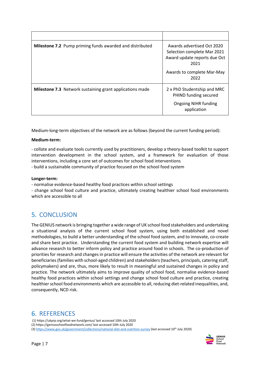| <b>Milestone 7.2</b> Pump priming funds awarded and distributed | Awards advertised Oct 2020<br>Selection complete Mar 2021<br>Award update reports due Oct<br>2021<br>Awards to complete Mar-May<br>2022 |
|-----------------------------------------------------------------|-----------------------------------------------------------------------------------------------------------------------------------------|
| <b>Milestone 7.3</b> Network sustaining grant applications made | 2 x PhD Studentship and MRC<br>PHIND funding secured<br>Ongoing NIHR funding<br>application                                             |

Medium-long-term objectives of the network are as follows (beyond the current funding period):

### **Medium-term:**

- collate and evaluate tools currently used by practitioners, develop a theory-based toolkit to support intervention development in the school system, and a framework for evaluation of those interventions, including a core set of outcomes for school food interventions

- build a sustainable community of practice focused on the school food system

### **Longer-term:**

- normalise evidence-based healthy food practices within school settings

- change school food culture and practice, ultimately creating healthier school food environments which are accessible to all

# 5. CONCLUSION

The GENIUS network is bringing together a wide range of UK school food stakeholders and undertaking a situational analysis of the current school food system, using both established and novel methodologies, to build a better understanding of the school food system, and to innovate, co-create and share best practice. Understanding the current food system and building network expertise will advance research to better inform policy and practice around food in schools. The co-production of priorities for research and changes in practice will ensure the activities of the network are relevant for beneficiaries (families with school-aged children) and stakeholders (teachers, principals, catering staff, policymakers) and are, thus, more likely to result in meaningful and sustained changes in policy and practice. The network ultimately aims to improve quality of school food, normalise evidence-based healthy food practices within school settings and change school food culture and practice, creating healthier school food environments which are accessible to all, reducing diet-related inequalities, and, consequently, NCD risk.

# 6. REFERENCES

(1) https://ukprp.org/what-we-fund/genius/ last accessed 10th July 2020 (2) https://geniusschoolfoodnetwork.com/ last accessed 10th July 2020 (3[\) https://www.gov.uk/government/collections/national-diet-and-nutrition-survey](https://www.gov.uk/government/collections/national-diet-and-nutrition-survey) (last accessed 10th July 2020)